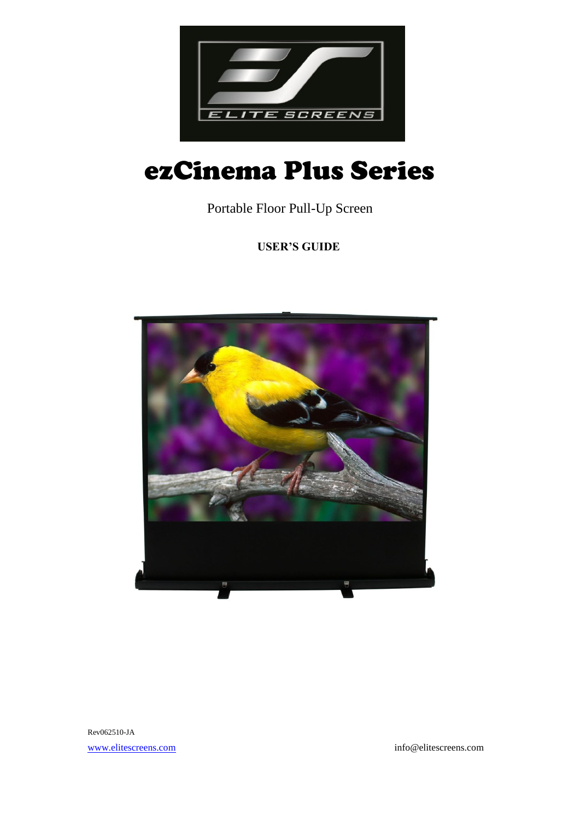

# ezCinema Plus Series

Portable Floor Pull-Up Screen

**USER'S GUIDE**



Rev062510-JA [www.elitescreens.com](http://www.elitescreens.com/) info@elitescreens.com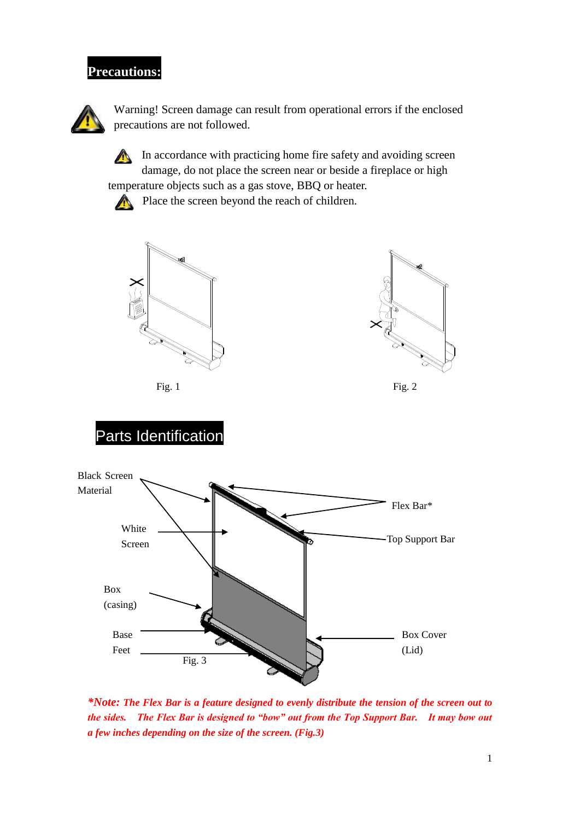# **Precautions:**



Warning! Screen damage can result from operational errors if the enclosed precautions are not followed.



In accordance with practicing home fire safety and avoiding screen damage, do not place the screen near or beside a fireplace or high

temperature objects such as a gas stove, BBQ or heater.



Place the screen beyond the reach of children.



Fig. 1 Fig. 2



# Parts Identification



*\*Note: The Flex Bar is a feature designed to evenly distribute the tension of the screen out to the sides. The Flex Bar is designed to "bow" out from the Top Support Bar. It may bow out a few inches depending on the size of the screen. (Fig.3)*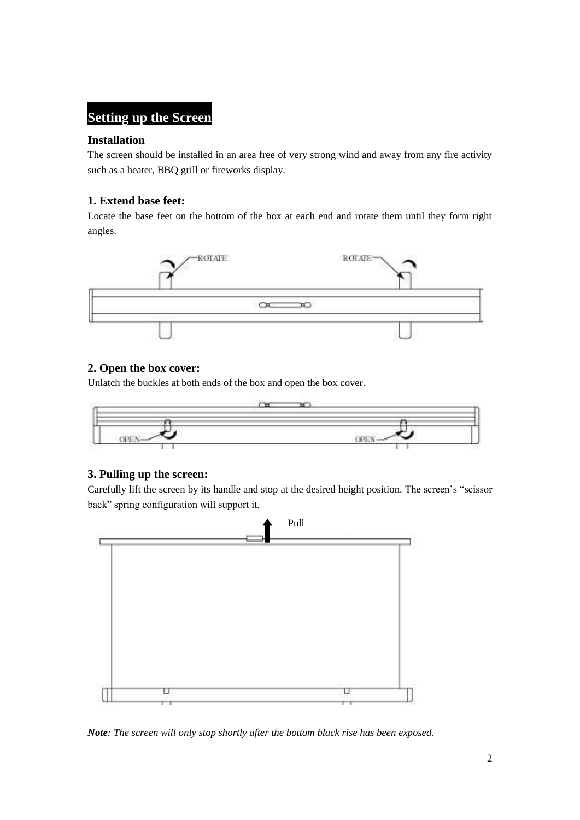### **Setting up the Screen**

#### **Installation**

The screen should be installed in an area free of very strong wind and away from any fire activity such as a heater, BBQ grill or fireworks display.

#### **1. Extend base feet:**

Locate the base feet on the bottom of the box at each end and rotate them until they form right angles.



#### **2. Open the box cover:**

Unlatch the buckles at both ends of the box and open the box cover.



#### **3. Pulling up the screen:**

Carefully lift the screen by its handle and stop at the desired height position. The screen's "scissor back" spring configuration will support it.



*Note: The screen will only stop shortly after the bottom black rise has been exposed.*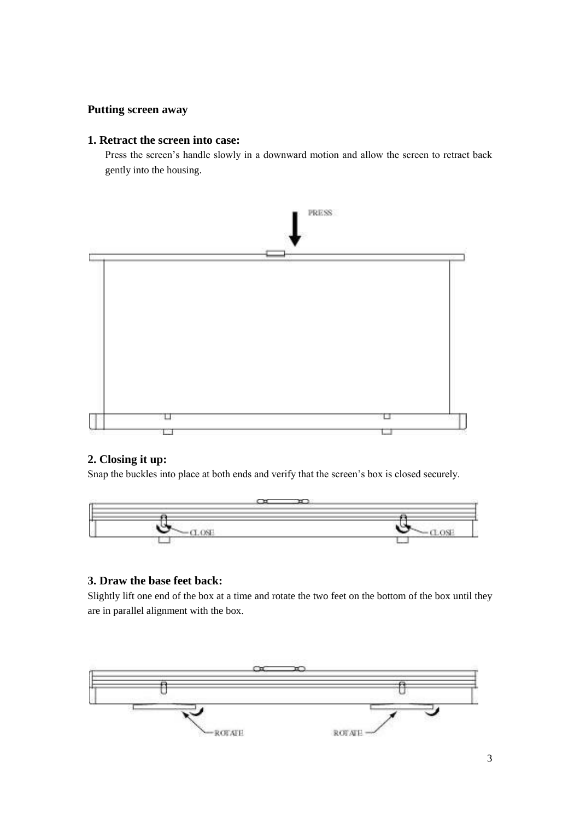#### **Putting screen away**

#### **1. Retract the screen into case:**

Press the screen's handle slowly in a downward motion and allow the screen to retract back gently into the housing.



#### **2. Closing it up:**

Snap the buckles into place at both ends and verify that the screen's box is closed securely.



#### **3. Draw the base feet back:**

Slightly lift one end of the box at a time and rotate the two feet on the bottom of the box until they are in parallel alignment with the box.

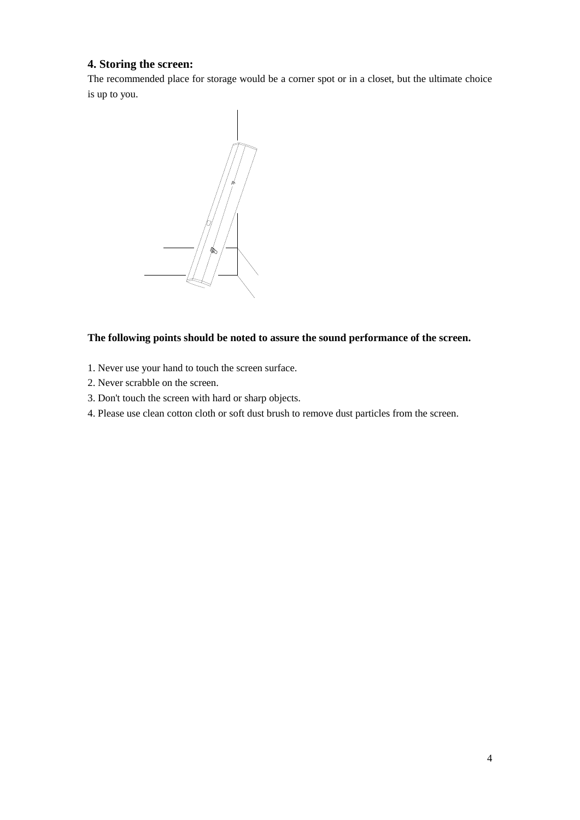#### **4. Storing the screen:**

The recommended place for storage would be a corner spot or in a closet, but the ultimate choice is up to you.



#### **The following points should be noted to assure the sound performance of the screen.**

- 1. Never use your hand to touch the screen surface.
- 2. Never scrabble on the screen.
- 3. Don't touch the screen with hard or sharp objects.
- 4. Please use clean cotton cloth or soft dust brush to remove dust particles from the screen.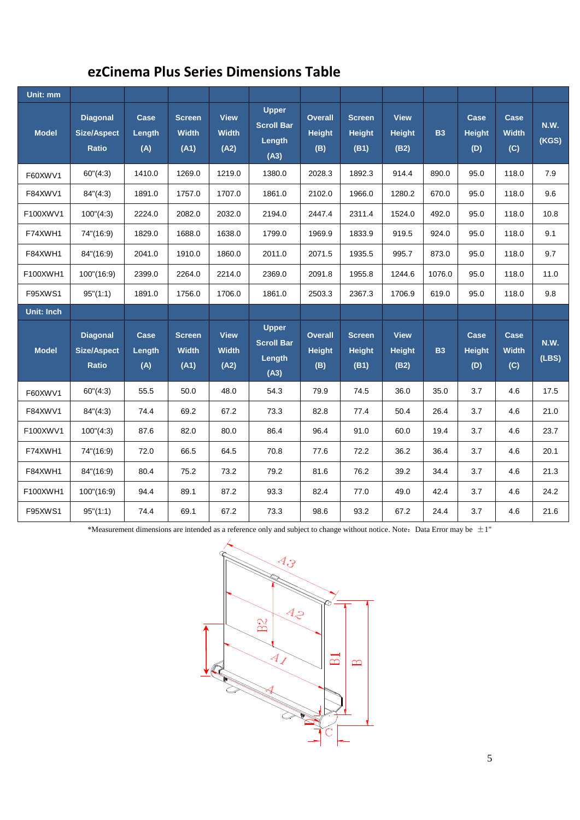## **ezCinema Plus Series Dimensions Table**

| Unit: mm     |                                                       |                       |                                       |                                     |                                                     |                                        |                                        |                                      |           |                              |                             |                      |
|--------------|-------------------------------------------------------|-----------------------|---------------------------------------|-------------------------------------|-----------------------------------------------------|----------------------------------------|----------------------------------------|--------------------------------------|-----------|------------------------------|-----------------------------|----------------------|
| <b>Model</b> | <b>Diagonal</b><br><b>Size/Aspect</b><br><b>Ratio</b> | Case<br>Length<br>(A) | <b>Screen</b><br><b>Width</b><br>(A1) | <b>View</b><br><b>Width</b><br>(A2) | <b>Upper</b><br><b>Scroll Bar</b><br>Length<br>(A3) | <b>Overall</b><br><b>Height</b><br>(B) | <b>Screen</b><br><b>Height</b><br>(B1) | <b>View</b><br><b>Height</b><br>(B2) | <b>B3</b> | Case<br><b>Height</b><br>(D) | Case<br><b>Width</b><br>(C) | N.W.<br>(KGS)        |
| F60XWV1      | 60''(4:3)                                             | 1410.0                | 1269.0                                | 1219.0                              | 1380.0                                              | 2028.3                                 | 1892.3                                 | 914.4                                | 890.0     | 95.0                         | 118.0                       | 7.9                  |
| F84XWV1      | 84''(4:3)                                             | 1891.0                | 1757.0                                | 1707.0                              | 1861.0                                              | 2102.0                                 | 1966.0                                 | 1280.2                               | 670.0     | 95.0                         | 118.0                       | 9.6                  |
| F100XWV1     | 100''(4:3)                                            | 2224.0                | 2082.0                                | 2032.0                              | 2194.0                                              | 2447.4                                 | 2311.4                                 | 1524.0                               | 492.0     | 95.0                         | 118.0                       | 10.8                 |
| F74XWH1      | 74"(16:9)                                             | 1829.0                | 1688.0                                | 1638.0                              | 1799.0                                              | 1969.9                                 | 1833.9                                 | 919.5                                | 924.0     | 95.0                         | 118.0                       | 9.1                  |
| F84XWH1      | 84"(16:9)                                             | 2041.0                | 1910.0                                | 1860.0                              | 2011.0                                              | 2071.5                                 | 1935.5                                 | 995.7                                | 873.0     | 95.0                         | 118.0                       | 9.7                  |
| F100XWH1     | 100''(16:9)                                           | 2399.0                | 2264.0                                | 2214.0                              | 2369.0                                              | 2091.8                                 | 1955.8                                 | 1244.6                               | 1076.0    | 95.0                         | 118.0                       | 11.0                 |
| F95XWS1      | 95''(1:1)                                             | 1891.0                | 1756.0                                | 1706.0                              | 1861.0                                              | 2503.3                                 | 2367.3                                 | 1706.9                               | 619.0     | 95.0                         | 118.0                       | 9.8                  |
|              |                                                       |                       |                                       |                                     |                                                     |                                        |                                        |                                      |           |                              |                             |                      |
| Unit: Inch   |                                                       |                       |                                       |                                     |                                                     |                                        |                                        |                                      |           |                              |                             |                      |
| <b>Model</b> | <b>Diagonal</b><br><b>Size/Aspect</b><br><b>Ratio</b> | Case<br>Length<br>(A) | <b>Screen</b><br><b>Width</b><br>(A1) | <b>View</b><br><b>Width</b><br>(A2) | <b>Upper</b><br><b>Scroll Bar</b><br>Length<br>(A3) | <b>Overall</b><br><b>Height</b><br>(B) | <b>Screen</b><br><b>Height</b><br>(B1) | <b>View</b><br><b>Height</b><br>(B2) | <b>B3</b> | Case<br><b>Height</b><br>(D) | Case<br><b>Width</b><br>(C) | <b>N.W.</b><br>(LES) |
| F60XWV1      | 60''(4:3)                                             | 55.5                  | 50.0                                  | 48.0                                | 54.3                                                | 79.9                                   | 74.5                                   | 36.0                                 | 35.0      | 3.7                          | 4.6                         | 17.5                 |
| F84XWV1      | 84''(4:3)                                             | 74.4                  | 69.2                                  | 67.2                                | 73.3                                                | 82.8                                   | 77.4                                   | 50.4                                 | 26.4      | 3.7                          | 4.6                         | 21.0                 |
| F100XWV1     | $100^{\circ}(4:3)$                                    | 87.6                  | 82.0                                  | 80.0                                | 86.4                                                | 96.4                                   | 91.0                                   | 60.0                                 | 19.4      | 3.7                          | 4.6                         | 23.7                 |
| F74XWH1      | 74"(16:9)                                             | 72.0                  | 66.5                                  | 64.5                                | 70.8                                                | 77.6                                   | 72.2                                   | 36.2                                 | 36.4      | 3.7                          | 4.6                         | 20.1                 |
| F84XWH1      | 84"(16:9)                                             | 80.4                  | 75.2                                  | 73.2                                | 79.2                                                | 81.6                                   | 76.2                                   | 39.2                                 | 34.4      | 3.7                          | 4.6                         | 21.3                 |
| F100XWH1     | 100''(16:9)                                           | 94.4                  | 89.1                                  | 87.2                                | 93.3                                                | 82.4                                   | 77.0                                   | 49.0                                 | 42.4      | 3.7                          | 4.6                         | 24.2                 |

\*Measurement dimensions are intended as a reference only and subject to change without notice. Note: Data Error may be  $\pm 1$ "